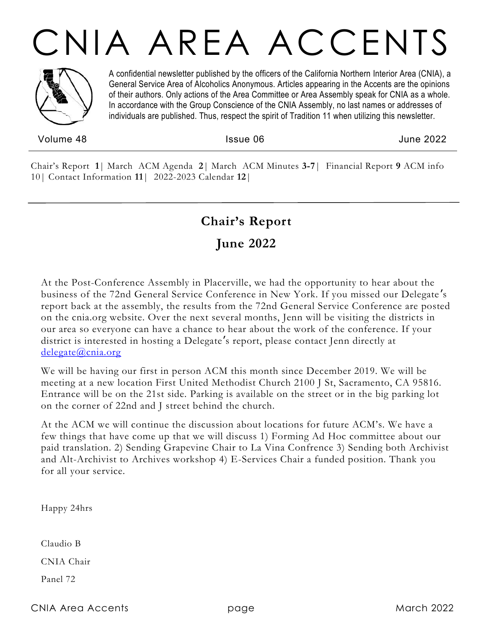# CNIA AREA ACCENTS



A confidential newsletter published by the officers of the California Northern Interior Area (CNIA), a General Service Area of Alcoholics Anonymous. Articles appearing in the Accents are the opinions of their authors. Only actions of the Area Committee or Area Assembly speak for CNIA as a whole. In accordance with the Group Conscience of the CNIA Assembly, no last names or addresses of individuals are published. Thus, respect the spirit of Tradition 11 when utilizing this newsletter.

Volume 48 Issue 06 June 2022

Chair's Report **1**| March ACM Agenda **2**| March ACM Minutes **3-7**| Financial Report **9** ACM info 10| Contact Information **11**| 2022-2023 Calendar **12**|

### **Chair's Report**

### **June 2022**

At the Post-Conference Assembly in Placerville, we had the opportunity to hear about the business of the 72nd General Service Conference in New York. If you missed our Delegate 's report back at the assembly, the results from the 72nd General Service Conference are posted on the cnia.org website. Over the next several months, Jenn will be visiting the districts in our area so everyone can have a chance to hear about the work of the conference. If your district is interested in hosting a Delegate's report, please contact Jenn directly at [delegate@cnia.org](mailto:delegate@cnia.org)

We will be having our first in person ACM this month since December 2019. We will be meeting at a new location First United Methodist Church 2100 J St, Sacramento, CA 95816. Entrance will be on the 21st side. Parking is available on the street or in the big parking lot on the corner of 22nd and J street behind the church.

At the ACM we will continue the discussion about locations for future ACM's. We have a few things that have come up that we will discuss 1) Forming Ad Hoc committee about our paid translation. 2) Sending Grapevine Chair to La Vina Confrence 3) Sending both Archivist and Alt-Archivist to Archives workshop 4) E-Services Chair a funded position. Thank you for all your service.

Happy 24hrs

Claudio B

CNIA Chair

Panel 72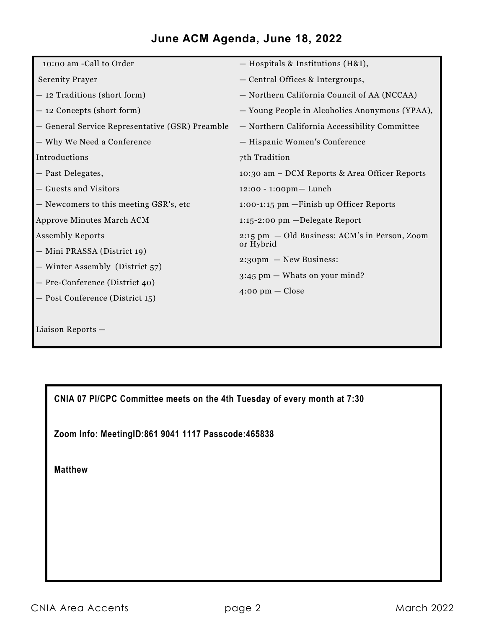#### **June ACM Agenda, June 18, 2022**

| 10:00 am -Call to Order                         | - Hospitals & Institutions (H&I),              |
|-------------------------------------------------|------------------------------------------------|
| <b>Serenity Prayer</b>                          | - Central Offices & Intergroups,               |
| - 12 Traditions (short form)                    | - Northern California Council of AA (NCCAA)    |
| - 12 Concepts (short form)                      | - Young People in Alcoholics Anonymous (YPAA), |
| - General Service Representative (GSR) Preamble | - Northern California Accessibility Committee  |
| - Why We Need a Conference                      | - Hispanic Women's Conference                  |
| Introductions                                   | 7th Tradition                                  |
| - Past Delegates,                               | 10:30 am – DCM Reports & Area Officer Reports  |
| - Guests and Visitors                           | $12:00 - 1:00$ pm — Lunch                      |
| - Newcomers to this meeting GSR's, etc          | $1:00-1:15$ pm $-Finish$ up Officer Reports    |
| Approve Minutes March ACM                       | $1:15 - 2:00$ pm $-\text{Delegate Report}$     |
| <b>Assembly Reports</b>                         | 2:15 pm - Old Business: ACM's in Person, Zoom  |
| - Mini PRASSA (District 19)                     | or Hybrid                                      |
| - Winter Assembly (District 57)                 | $2:30 \text{pm} - \text{New Business:}$        |
| - Pre-Conference (District 40)                  | $3:45$ pm $-$ Whats on your mind?              |
| - Post Conference (District 15)                 | $4:00 \text{ pm} - \text{Close}$               |
|                                                 |                                                |
| Liaison Reports -                               |                                                |

**CNIA 07 PI/CPC Committee meets on the 4th Tuesday of every month at 7:30**

**Zoom Info: MeetingID:861 9041 1117 Passcode:465838**

**Matthew**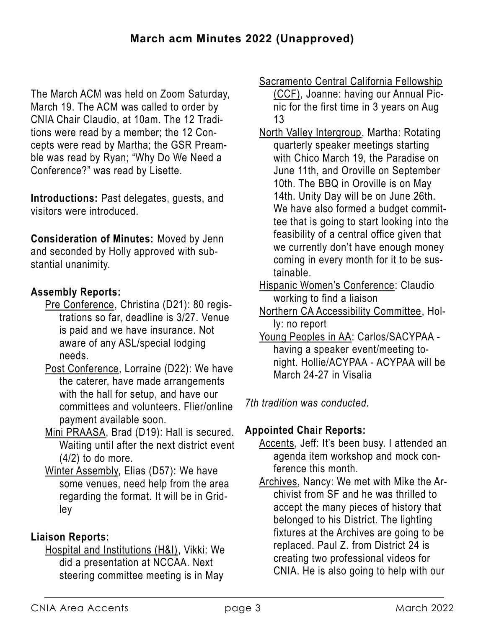The March ACM was held on Zoom Saturday, March 19. The ACM was called to order by CNIA Chair Claudio, at 10am. The 12 Traditions were read by a member; the 12 Concepts were read by Martha; the GSR Preamble was read by Ryan; "Why Do We Need a Conference?" was read by Lisette.

**Introductions:** Past delegates, guests, and visitors were introduced.

**Consideration of Minutes:** Moved by Jenn and seconded by Holly approved with substantial unanimity.

#### **Assembly Reports:**

- Pre Conference, Christina (D21): 80 registrations so far, deadline is 3/27. Venue is paid and we have insurance. Not aware of any ASL/special lodging needs.
- Post Conference, Lorraine (D22): We have the caterer, have made arrangements with the hall for setup, and have our committees and volunteers. Flier/online payment available soon.
- Mini PRAASA, Brad (D19): Hall is secured. Waiting until after the next district event  $(4/2)$  to do more.
- Winter Assembly, Elias (D57): We have some venues, need help from the area regarding the format. It will be in Gridley

#### **Liaison Reports:**

Hospital and Institutions (H&I), Vikki: We did a presentation at NCCAA. Next steering committee meeting is in May

Sacramento Central California Fellowship

(CCF), Joanne: having our Annual Picnic for the first time in 3 years on Aug 13

- North Valley Intergroup, Martha: Rotating quarterly speaker meetings starting with Chico March 19, the Paradise on June 11th, and Oroville on September 10th. The BBQ in Oroville is on May 14th. Unity Day will be on June 26th. We have also formed a budget committee that is going to start looking into the feasibility of a central office given that we currently don't have enough money coming in every month for it to be sustainable.
- Hispanic Women's Conference: Claudio working to find a liaison
- Northern CA Accessibility Committee, Holly: no report
- Young Peoples in AA: Carlos/SACYPAA having a speaker event/meeting tonight. Hollie/ACYPAA - ACYPAA will be March 24-27 in Visalia

*7th tradition was conducted.*

#### **Appointed Chair Reports:**

- Accents, Jeff: It's been busy. I attended an agenda item workshop and mock conference this month.
- Archives, Nancy: We met with Mike the Archivist from SF and he was thrilled to accept the many pieces of history that belonged to his District. The lighting fixtures at the Archives are going to be replaced. Paul Z. from District 24 is creating two professional videos for CNIA. He is also going to help with our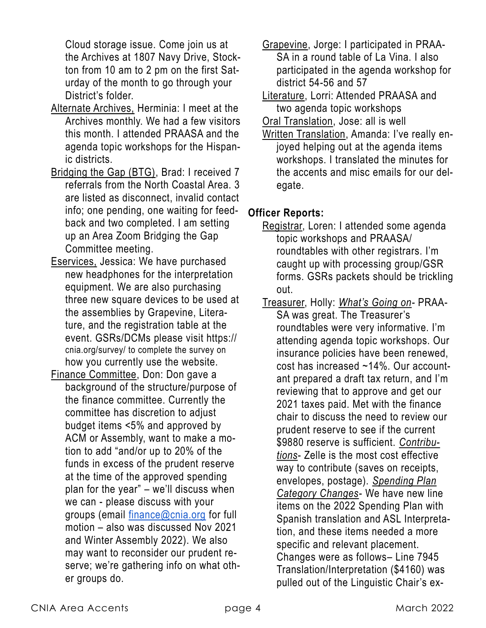Cloud storage issue. Come join us at the Archives at 1807 Navy Drive, Stockton from 10 am to 2 pm on the first Saturday of the month to go through your District's folder.

- Alternate Archives, Herminia: I meet at the Archives monthly. We had a few visitors this month. I attended PRAASA and the agenda topic workshops for the Hispanic districts.
- Bridging the Gap (BTG), Brad: I received 7 referrals from the North Coastal Area. 3 are listed as disconnect, invalid contact info; one pending, one waiting for feedback and two completed. I am setting up an Area Zoom Bridging the Gap Committee meeting.
- Eservices, Jessica: We have purchased new headphones for the interpretation equipment. We are also purchasing three new square devices to be used at the assemblies by Grapevine, Literature, and the registration table at the event. GSRs/DCMs please visit https:// cnia.org/survey/ to complete the survey on how you currently use the website.
- Finance Committee, Don: Don gave a background of the structure/purpose of the finance committee. Currently the committee has discretion to adjust budget items <5% and approved by ACM or Assembly, want to make a motion to add "and/or up to 20% of the funds in excess of the prudent reserve at the time of the approved spending plan for the year" – we'll discuss when we can - please discuss with your groups (email [finance@cnia.org](mailto:finance@cnia.org) for full motion – also was discussed Nov 2021 and Winter Assembly 2022). We also may want to reconsider our prudent reserve; we're gathering info on what other groups do.
- Grapevine, Jorge: I participated in PRAA-SA in a round table of La Vina. I also participated in the agenda workshop for district 54-56 and 57
- Literature, Lorri: Attended PRAASA and two agenda topic workshops
- Oral Translation, Jose: all is well
- Written Translation, Amanda: I've really enjoyed helping out at the agenda items workshops. I translated the minutes for the accents and misc emails for our delegate.

#### **Officer Reports:**

- Registrar, Loren: I attended some agenda topic workshops and PRAASA/ roundtables with other registrars. I'm caught up with processing group/GSR forms. GSRs packets should be trickling out.
- Treasurer, Holly: *What's Going on-* PRAA-SA was great. The Treasurer's roundtables were very informative. I'm attending agenda topic workshops. Our insurance policies have been renewed, cost has increased ~14%. Our accountant prepared a draft tax return, and I'm reviewing that to approve and get our 2021 taxes paid. Met with the finance chair to discuss the need to review our prudent reserve to see if the current \$9880 reserve is sufficient. *Contributions*- Zelle is the most cost effective way to contribute (saves on receipts, envelopes, postage). *Spending Plan Category Changes*- We have new line items on the 2022 Spending Plan with Spanish translation and ASL Interpretation, and these items needed a more specific and relevant placement. Changes were as follows– Line 7945 Translation/Interpretation (\$4160) was pulled out of the Linguistic Chair's ex-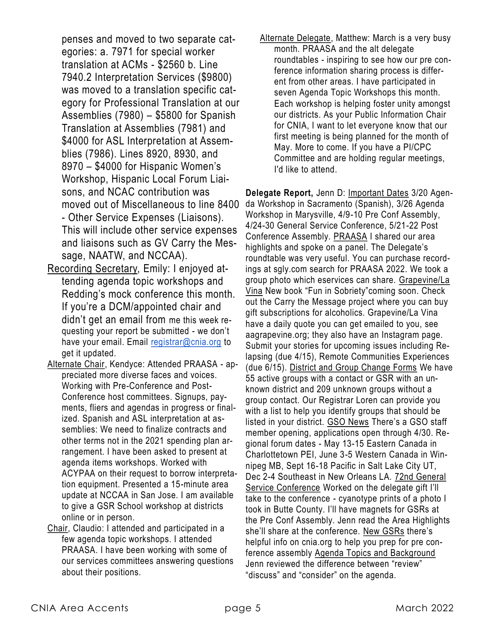penses and moved to two separate categories: a. 7971 for special worker translation at ACMs - \$2560 b. Line 7940.2 Interpretation Services (\$9800) was moved to a translation specific category for Professional Translation at our Assemblies (7980) – \$5800 for Spanish Translation at Assemblies (7981) and \$4000 for ASL Interpretation at Assemblies (7986). Lines 8920, 8930, and 8970 – \$4000 for Hispanic Women's Workshop, Hispanic Local Forum Liaisons, and NCAC contribution was moved out of Miscellaneous to line 8400 - Other Service Expenses (Liaisons). This will include other service expenses and liaisons such as GV Carry the Message, NAATW, and NCCAA).

- Recording Secretary, Emily: I enjoyed attending agenda topic workshops and Redding's mock conference this month. If you're a DCM/appointed chair and didn't get an email from me this week requesting your report be submitted - we don't have your email. Email [registrar@cnia.org](mailto:registrar@cnia.org) to get it updated.
- Alternate Chair, Kendyce: Attended PRAASA appreciated more diverse faces and voices. Working with Pre-Conference and Post-Conference host committees. Signups, payments, fliers and agendas in progress or finalized. Spanish and ASL interpretation at assemblies: We need to finalize contracts and other terms not in the 2021 spending plan arrangement. I have been asked to present at agenda items workshops. Worked with ACYPAA on their request to borrow interpretation equipment. Presented a 15-minute area update at NCCAA in San Jose. I am available to give a GSR School workshop at districts online or in person.
- Chair, Claudio: I attended and participated in a few agenda topic workshops. I attended PRAASA. I have been working with some of our services committees answering questions about their positions.

Alternate Delegate, Matthew: March is a very busy month. PRAASA and the alt delegate roundtables - inspiring to see how our pre conference information sharing process is different from other areas. I have participated in seven Agenda Topic Workshops this month. Each workshop is helping foster unity amongst our districts. As your Public Information Chair for CNIA, I want to let everyone know that our first meeting is being planned for the month of May. More to come. If you have a PI/CPC Committee and are holding regular meetings, I'd like to attend.

**Delegate Report,** Jenn D: Important Dates 3/20 Agenda Workshop in Sacramento (Spanish), 3/26 Agenda Workshop in Marysville, 4/9-10 Pre Conf Assembly, 4/24-30 General Service Conference, 5/21-22 Post Conference Assembly. PRAASA I shared our area highlights and spoke on a panel. The Delegate's roundtable was very useful. You can purchase recordings at sgly.com search for PRAASA 2022. We took a group photo which eservices can share. Grapevine/La Vina New book "Fun in Sobriety"coming soon. Check out the Carry the Message project where you can buy gift subscriptions for alcoholics. Grapevine/La Vina have a daily quote you can get emailed to you, see aagrapevine.org; they also have an Instagram page. Submit your stories for upcoming issues including Relapsing (due 4/15), Remote Communities Experiences (due 6/15). District and Group Change Forms We have 55 active groups with a contact or GSR with an unknown district and 209 unknown groups without a group contact. Our Registrar Loren can provide you with a list to help you identify groups that should be listed in your district. GSO News There's a GSO staff member opening, applications open through 4/30. Regional forum dates - May 13-15 Eastern Canada in Charlottetown PEI, June 3-5 Western Canada in Winnipeg MB, Sept 16-18 Pacific in Salt Lake City UT, Dec 2-4 Southeast in New Orleans LA. 72nd General Service Conference Worked on the delegate gift I'll take to the conference - cyanotype prints of a photo I took in Butte County. I'll have magnets for GSRs at the Pre Conf Assembly. Jenn read the Area Highlights she'll share at the conference. New GSRs there's helpful info on cnia.org to help you prep for pre conference assembly Agenda Topics and Background Jenn reviewed the difference between "review" "discuss" and "consider" on the agenda.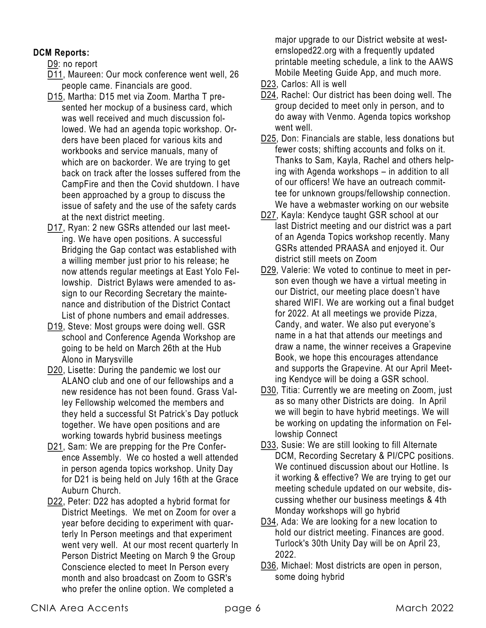#### **DCM Reports:**

D9: no report

- D11, Maureen: Our mock conference went well, 26 people came. Financials are good.
- D15, Martha: D15 met via Zoom. Martha T presented her mockup of a business card, which was well received and much discussion followed. We had an agenda topic workshop. Orders have been placed for various kits and workbooks and service manuals, many of which are on backorder. We are trying to get back on track after the losses suffered from the CampFire and then the Covid shutdown. I have been approached by a group to discuss the issue of safety and the use of the safety cards at the next district meeting.
- D17, Ryan: 2 new GSRs attended our last meeting. We have open positions. A successful Bridging the Gap contact was established with a willing member just prior to his release; he now attends regular meetings at East Yolo Fellowship. District Bylaws were amended to assign to our Recording Secretary the maintenance and distribution of the District Contact List of phone numbers and email addresses.
- D19, Steve: Most groups were doing well. GSR school and Conference Agenda Workshop are going to be held on March 26th at the Hub Alono in Marysville
- D20, Lisette: During the pandemic we lost our ALANO club and one of our fellowships and a new residence has not been found. Grass Valley Fellowship welcomed the members and they held a successful St Patrick's Day potluck together. We have open positions and are working towards hybrid business meetings
- D21, Sam: We are prepping for the Pre Conference Assembly. We co hosted a well attended in person agenda topics workshop. Unity Day for D21 is being held on July 16th at the Grace Auburn Church.
- D22, Peter: D22 has adopted a hybrid format for District Meetings. We met on Zoom for over a year before deciding to experiment with quarterly In Person meetings and that experiment went very well. At our most recent quarterly In Person District Meeting on March 9 the Group Conscience elected to meet In Person every month and also broadcast on Zoom to GSR's who prefer the online option. We completed a

major upgrade to our District website at westernsloped22.org with a frequently updated printable meeting schedule, a link to the AAWS Mobile Meeting Guide App, and much more.

- D23, Carlos: All is well
- D24, Rachel: Our district has been doing well. The group decided to meet only in person, and to do away with Venmo. Agenda topics workshop went well.
- D25, Don: Financials are stable, less donations but fewer costs; shifting accounts and folks on it. Thanks to Sam, Kayla, Rachel and others helping with Agenda workshops – in addition to all of our officers! We have an outreach committee for unknown groups/fellowship connection. We have a webmaster working on our website
- D27, Kayla: Kendyce taught GSR school at our last District meeting and our district was a part of an Agenda Topics workshop recently. Many GSRs attended PRAASA and enjoyed it. Our district still meets on Zoom
- D29, Valerie: We voted to continue to meet in person even though we have a virtual meeting in our District, our meeting place doesn't have shared WIFI. We are working out a final budget for 2022. At all meetings we provide Pizza, Candy, and water. We also put everyone's name in a hat that attends our meetings and draw a name, the winner receives a Grapevine Book, we hope this encourages attendance and supports the Grapevine. At our April Meeting Kendyce will be doing a GSR school.
- D30, Titia: Currently we are meeting on Zoom, just as so many other Districts are doing. In April we will begin to have hybrid meetings. We will be working on updating the information on Fellowship Connect
- D33, Susie: We are still looking to fill Alternate DCM, Recording Secretary & PI/CPC positions. We continued discussion about our Hotline. Is it working & effective? We are trying to get our meeting schedule updated on our website, discussing whether our business meetings & 4th Monday workshops will go hybrid
- D34, Ada: We are looking for a new location to hold our district meeting. Finances are good. Turlock's 30th Unity Day will be on April 23, 2022.
- D36, Michael: Most districts are open in person, some doing hybrid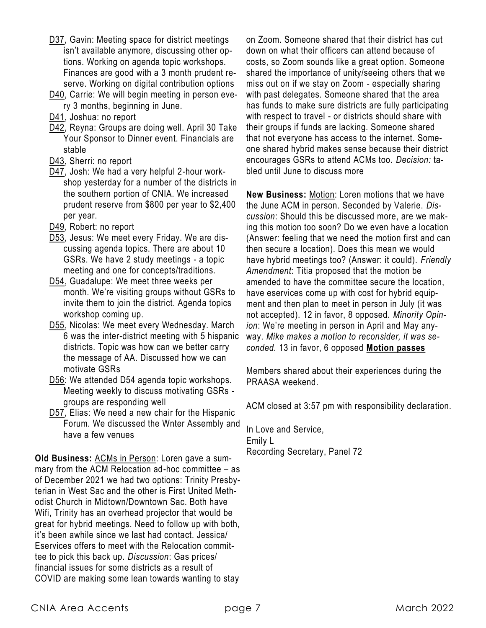- D37, Gavin: Meeting space for district meetings isn't available anymore, discussing other options. Working on agenda topic workshops. Finances are good with a 3 month prudent reserve. Working on digital contribution options
- D40, Carrie: We will begin meeting in person every 3 months, beginning in June.
- D41, Joshua: no report
- D42, Reyna: Groups are doing well. April 30 Take Your Sponsor to Dinner event. Financials are stable
- D43, Sherri: no report
- D47, Josh: We had a very helpful 2-hour workshop yesterday for a number of the districts in the southern portion of CNIA. We increased prudent reserve from \$800 per year to \$2,400 per year.
- D49, Robert: no report
- D53, Jesus: We meet every Friday. We are discussing agenda topics. There are about 10 GSRs. We have 2 study meetings - a topic meeting and one for concepts/traditions.
- D54, Guadalupe: We meet three weeks per month. We're visiting groups without GSRs to invite them to join the district. Agenda topics workshop coming up.
- D55, Nicolas: We meet every Wednesday. March 6 was the inter-district meeting with 5 hispanic districts. Topic was how can we better carry the message of AA. Discussed how we can motivate GSRs
- D56: We attended D54 agenda topic workshops. Meeting weekly to discuss motivating GSRs groups are responding well
- D57, Elias: We need a new chair for the Hispanic Forum. We discussed the Wnter Assembly and have a few venues

**Old Business:** ACMs in Person: Loren gave a summary from the ACM Relocation ad-hoc committee – as of December 2021 we had two options: Trinity Presbyterian in West Sac and the other is First United Methodist Church in Midtown/Downtown Sac. Both have Wifi, Trinity has an overhead projector that would be great for hybrid meetings. Need to follow up with both, it's been awhile since we last had contact. Jessica/ Eservices offers to meet with the Relocation committee to pick this back up. *Discussion*: Gas prices/ financial issues for some districts as a result of COVID are making some lean towards wanting to stay

on Zoom. Someone shared that their district has cut down on what their officers can attend because of costs, so Zoom sounds like a great option. Someone shared the importance of unity/seeing others that we miss out on if we stay on Zoom - especially sharing with past delegates. Someone shared that the area has funds to make sure districts are fully participating with respect to travel - or districts should share with their groups if funds are lacking. Someone shared that not everyone has access to the internet. Someone shared hybrid makes sense because their district encourages GSRs to attend ACMs too. *Decision:* tabled until June to discuss more

**New Business:** Motion: Loren motions that we have the June ACM in person. Seconded by Valerie. *Discussion*: Should this be discussed more, are we making this motion too soon? Do we even have a location (Answer: feeling that we need the motion first and can then secure a location). Does this mean we would have hybrid meetings too? (Answer: it could). *Friendly Amendment*: Titia proposed that the motion be amended to have the committee secure the location, have eservices come up with cost for hybrid equipment and then plan to meet in person in July (it was not accepted). 12 in favor, 8 opposed. *Minority Opinion*: We're meeting in person in April and May anyway. *Mike makes a motion to reconsider, it was seconded.* 13 in favor, 6 opposed **Motion passes**

Members shared about their experiences during the PRAASA weekend.

ACM closed at 3:57 pm with responsibility declaration.

In Love and Service, Emily L Recording Secretary, Panel 72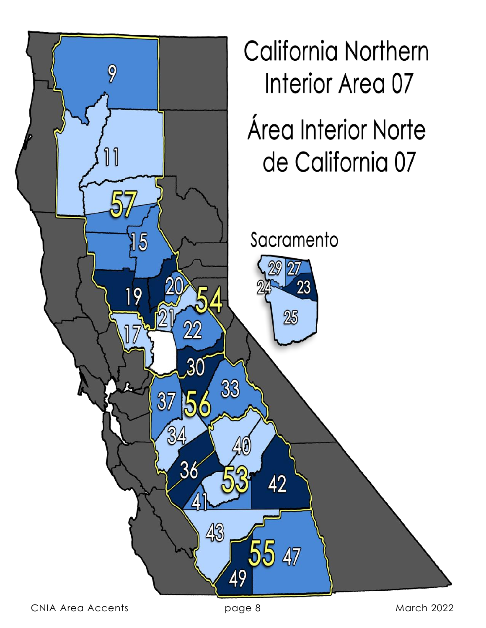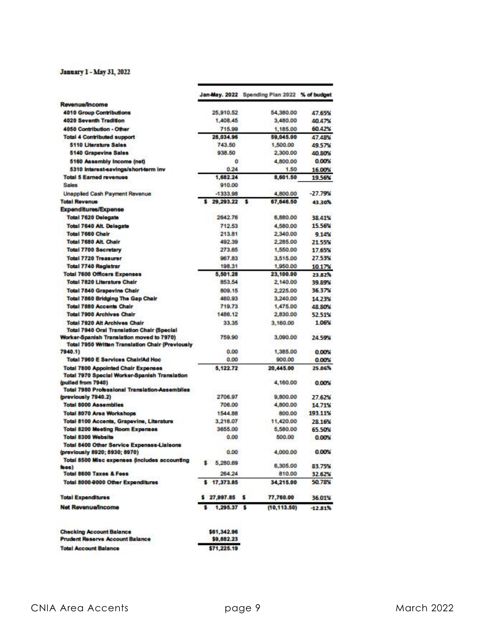#### January 1 - May 31, 2022

|                                                                                                                                                           | Jan-May. 2022 Spending Plan 2022 % of budget |     |                    |                     |
|-----------------------------------------------------------------------------------------------------------------------------------------------------------|----------------------------------------------|-----|--------------------|---------------------|
| Revenue/Income                                                                                                                                            |                                              |     |                    |                     |
| <b>4010 Group Contributions</b>                                                                                                                           | 25,910.52                                    |     | 54,380.00          | 47.65%              |
| 4020 Seventh Tradition                                                                                                                                    | 1,408.45                                     |     | 3,480.00           | 40 47%              |
| 4050 Contribution - Other                                                                                                                                 | 715.99                                       |     | 1,185.00           | 60.42%              |
| <b>Total 4 Contributed support</b>                                                                                                                        | 28,034.96                                    |     | 59,045.00          | 47,48%              |
| <b>5110 Literature Sales</b>                                                                                                                              | 743.50                                       |     | 1,500.00           | 49.57%              |
| 5140 Grapevine Sales                                                                                                                                      | 938.50                                       |     | 2,300.00           | 40,80%              |
| 5160 Assembly Income (net)                                                                                                                                | ō                                            |     | 4,800.00           | 0.00%               |
| 5310 Interest-savings/short-term inv                                                                                                                      | 0.24                                         |     | 1.50               | 16.00%              |
| <b>Total 5 Earned revenues</b><br><b>Sales</b>                                                                                                            | 1,682.24<br>910.00                           |     | 8,601.50           | 19.56%              |
| Unapplied Cash Payment Revenue                                                                                                                            | $-1333.98$                                   |     | 4,800.00           | $-27.79%$           |
| <b>Total Revenue</b>                                                                                                                                      | 29,293.22                                    | - 5 | 67,646.50          | 43.30%              |
| <b>Expenditures/Expense</b>                                                                                                                               |                                              |     |                    |                     |
| <b>Total 7620 Delegate</b>                                                                                                                                | 2642.76                                      |     | 6,880.00           | 38.41%              |
| <b>Total 7640 Alt. Delegate</b>                                                                                                                           | 712.53                                       |     | 4,580.00           | 15.56%              |
| Total 7660 Chair                                                                                                                                          | 213.81                                       |     |                    | 2,340.00<br>9.14%   |
| Total 7680 Alt. Chair                                                                                                                                     | 492.39                                       |     | 2,285.00           | 21.55%              |
| <b>Total 7700 Secretary</b>                                                                                                                               | 273.65                                       |     | 1,550.00           | 17.65%              |
| <b>Total 7720 Treasurer</b>                                                                                                                               | 967.83                                       |     | 3,515.00           | 27.53%              |
| <b>Total 7740 Registrar</b>                                                                                                                               | 198.31                                       |     |                    | 10.17%              |
| <b>Total 7600 Officers Expenses</b>                                                                                                                       | 5,501.28                                     |     |                    | 23,100.00<br>23.82% |
| <b>Total 7820 Literature Chair</b>                                                                                                                        | 853.54                                       |     | 2,140.00           | 39.89%              |
| <b>Total 7840 Grapevine Chair</b>                                                                                                                         | 809.15                                       |     | 2,225.00           | 36.37%              |
| Total 7860 Bridging The Gap Chair                                                                                                                         | 460.93                                       |     | 3,240.00           | 14.23%              |
| <b>Total 7880 Accents Chair</b>                                                                                                                           | 719.73                                       |     | 1,475.00           | 48 80%              |
| <b>Total 7900 Archives Chair</b>                                                                                                                          | 1486.12                                      |     | 2,830.00           | 52.51%              |
| Total 7920 Alt Archives Chair                                                                                                                             | 33.35                                        |     | 3,160.00           | 1.06%               |
| <b>Total 7940 Oral Translation Chair (Special</b><br>Worker-Spanish Translation moved to 7970)<br><b>Total 7950 Written Translation Chair (Previously</b> | 759.90                                       |     | 3,090.00           | 24.59%              |
| 7940.1)                                                                                                                                                   | 0.00                                         |     | 1,385.00           | 0.00%               |
| Total 7960 E Services Chair/Ad Hoc                                                                                                                        | 0.00                                         |     | 900.00             | 0.00%               |
| <b>Total 7800 Appointed Chair Expenses</b>                                                                                                                | 5,122.72                                     |     | 20,445.00          | 25.06%              |
| Total 7970 Special Worker-Spanish Translation<br>(pulled from 7940)                                                                                       |                                              |     | 4,160.00           | 0.00%               |
| <b>Total 7980 Professional Translation-Assemblies</b>                                                                                                     |                                              |     |                    |                     |
| (previously 7940.2)                                                                                                                                       | 2706.97                                      |     | 9,800.00           | 27.62%              |
| <b>Total 8000 Assemblies</b>                                                                                                                              | 706.00                                       |     | 4,800.00           | 14.71%              |
| Total 8070 Area Workshops                                                                                                                                 | 1544.88                                      |     | 800.00             | 193.11%             |
| Total 8100 Accents, Grapevine, Literature                                                                                                                 | 3.216.07                                     |     | 11,420.00          | 28.16%              |
| <b>Total 8200 Meeting Room Expenses</b>                                                                                                                   | 3655.00                                      |     | 5,580.00           | 65 50%              |
| <b>Total 8300 Website</b>                                                                                                                                 | 0.00                                         |     | 500.00             | 0.00%               |
| Total 8400 Other Service Expenses-Liaisons<br>(previously 8920; 8930; 8970)                                                                               | 0.00                                         |     | 4,000.00           | 0.00%               |
| Total 8500 Misc expenses (includes accounting                                                                                                             | 5,280.69<br>s                                |     |                    |                     |
| foos)<br><b>Total 8600 Taxes &amp; Fees</b>                                                                                                               | 264.24                                       |     | 6,305.00<br>810.00 | 83.75%              |
|                                                                                                                                                           | \$17,373.85                                  |     | 34,215.00          | 32.62%<br>50.78%    |
| Total 8000-8000 Other Expenditures                                                                                                                        |                                              |     |                    |                     |
| <b>Total Expenditures</b>                                                                                                                                 | $$27,997.85$ \$                              |     | 77,760.00          | 36.01%              |
| <b>Net Revenue/Income</b>                                                                                                                                 | $$1,295.37$ \$                               |     | (10, 113.50)       | $-12.81%$           |
| <b>Checking Account Balance</b>                                                                                                                           | \$61,342.96                                  |     |                    |                     |
| <b>Prudent Reserve Account Balance</b>                                                                                                                    | \$9,882.23                                   |     |                    |                     |
| <b>Total Account Balance</b>                                                                                                                              | \$71,225.19                                  |     |                    |                     |

| Prudent Reserve Account Balance | 39,882  |
|---------------------------------|---------|
| <b>Total Account Balance</b>    | \$71,22 |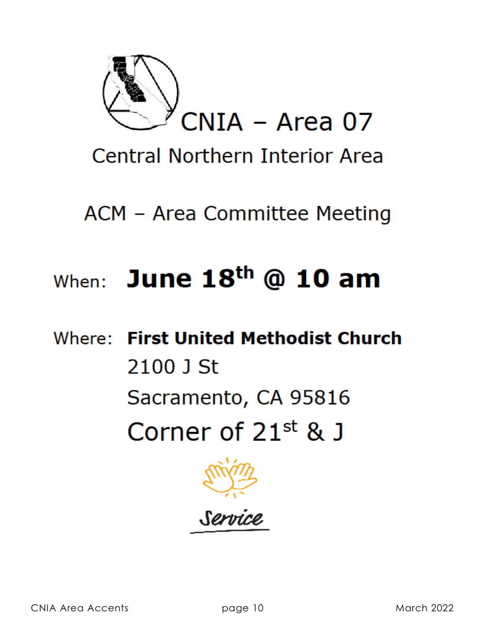

**Central Northern Interior Area** 

ACM - Area Committee Meeting

## When: June  $18<sup>th</sup>$  @ 10 am

Where: First United Methodist Church 2100 J St Sacramento, CA 95816 Corner of  $21^{st}$  & J



Servi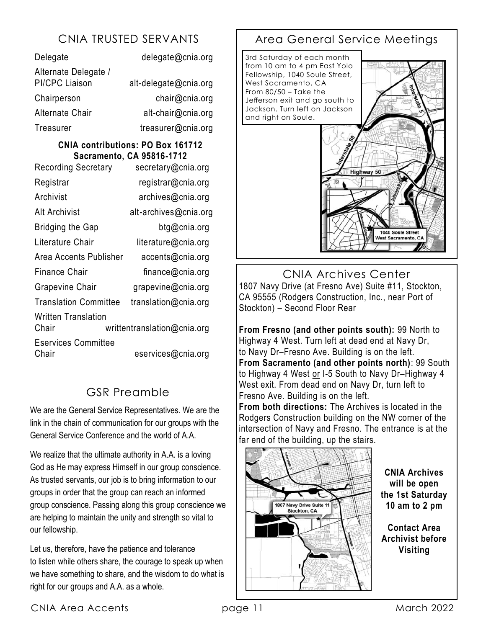| Delegate                                      | delegate@cnia.org     |
|-----------------------------------------------|-----------------------|
| Alternate Delegate /<br><b>PI/CPC Liaison</b> | alt-delegate@cnia.org |
| Chairperson                                   | chair@cnia.org        |
| <b>Alternate Chair</b>                        | alt-chair@cnia.org    |
| Treasurer                                     | treasurer@cnia.org    |

#### **CNIA contributions: PO Box 161712 Sacramento, CA 95816-1712**

| <b>Recording Secretary</b>          | secretary@cnia.org          |
|-------------------------------------|-----------------------------|
| Registrar                           | registrar@cnia.org          |
| Archivist                           | archives@cnia.org           |
| Alt Archivist                       | alt-archives@cnia.org       |
| <b>Bridging the Gap</b>             | btg@cnia.org                |
| Literature Chair                    | literature@cnia.org         |
| Area Accents Publisher              | accents@cnia.org            |
| Finance Chair                       | finance@cnia.org            |
| <b>Grapevine Chair</b>              | grapevine@cnia.org          |
| <b>Translation Committee</b>        | translation@cnia.org        |
| Written Translation<br>Chair        | writtentranslation@cnia.org |
| <b>Eservices Committee</b><br>Chair | eservices@cnia.org          |

#### GSR Preamble

We are the General Service Representatives. We are the link in the chain of communication for our groups with the General Service Conference and the world of A.A.

We realize that the ultimate authority in A.A. is a loving God as He may express Himself in our group conscience. As trusted servants, our job is to bring information to our groups in order that the group can reach an informed group conscience. Passing along this group conscience we are helping to maintain the unity and strength so vital to our fellowship.

Let us, therefore, have the patience and tolerance to listen while others share, the courage to speak up when we have something to share, and the wisdom to do what is right for our groups and A.A. as a whole.

#### CNIA TRUSTED SERVANTS | Area General Service Meetings



CNIA Archives Center 1807 Navy Drive (at Fresno Ave) Suite #11, Stockton, CA 95555 (Rodgers Construction, Inc., near Port of Stockton) – Second Floor Rear

**From Fresno (and other points south):** 99 North to Highway 4 West. Turn left at dead end at Navy Dr, to Navy Dr–Fresno Ave. Building is on the left. **From Sacramento (and other points north)**: 99 South to Highway 4 West or I-5 South to Navy Dr–Highway 4 West exit. From dead end on Navy Dr, turn left to Fresno Ave. Building is on the left.

**From both directions:** The Archives is located in the Rodgers Construction building on the NW corner of the intersection of Navy and Fresno. The entrance is at the far end of the building, up the stairs.



**CNIA Archives will be open the 1st Saturday 10 am to 2 pm**

**Contact Area Archivist before Visiting**